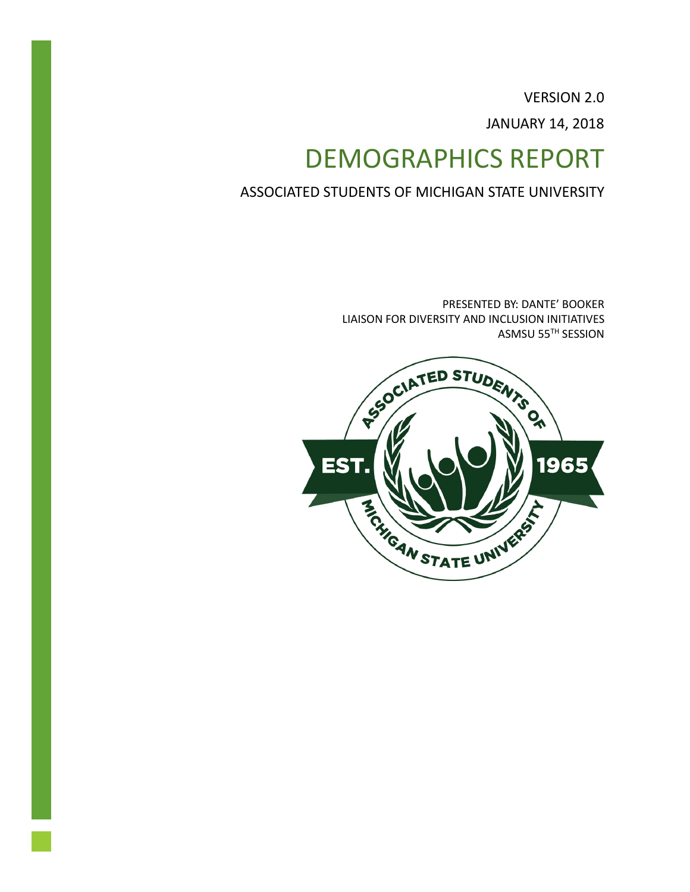VERSION 2.0 JANUARY 14, 2018

# DEMOGRAPHICS REPORT

ASSOCIATED STUDENTS OF MICHIGAN STATE UNIVERSITY

PRESENTED BY: DANTE' BOOKER LIAISON FOR DIVERSITY AND INCLUSION INITIATIVES ASMSU 55TH SESSION

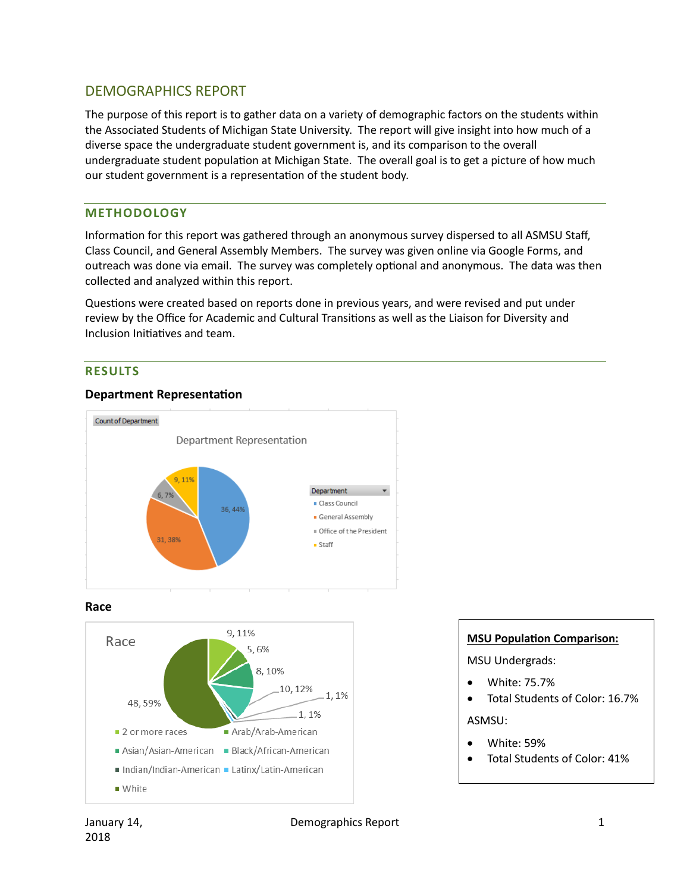# DEMOGRAPHICS REPORT

The purpose of this report is to gather data on a variety of demographic factors on the students within the Associated Students of Michigan State University. The report will give insight into how much of a diverse space the undergraduate student government is, and its comparison to the overall undergraduate student population at Michigan State. The overall goal is to get a picture of how much our student government is a representation of the student body.

#### **METHODOLOGY**

Information for this report was gathered through an anonymous survey dispersed to all ASMSU Staff, Class Council, and General Assembly Members. The survey was given online via Google Forms, and outreach was done via email. The survey was completely optional and anonymous. The data was then collected and analyzed within this report.

Questions were created based on reports done in previous years, and were revised and put under review by the Office for Academic and Cultural Transitions as well as the Liaison for Diversity and Inclusion Initiatives and team.

#### **RESULTS**

#### **Department Representation**



**Race**



#### **MSU Population Comparison:**

MSU Undergrads:

- White: 75.7%
- Total Students of Color: 16.7%

ASMSU:

- White: 59%
- Total Students of Color: 41%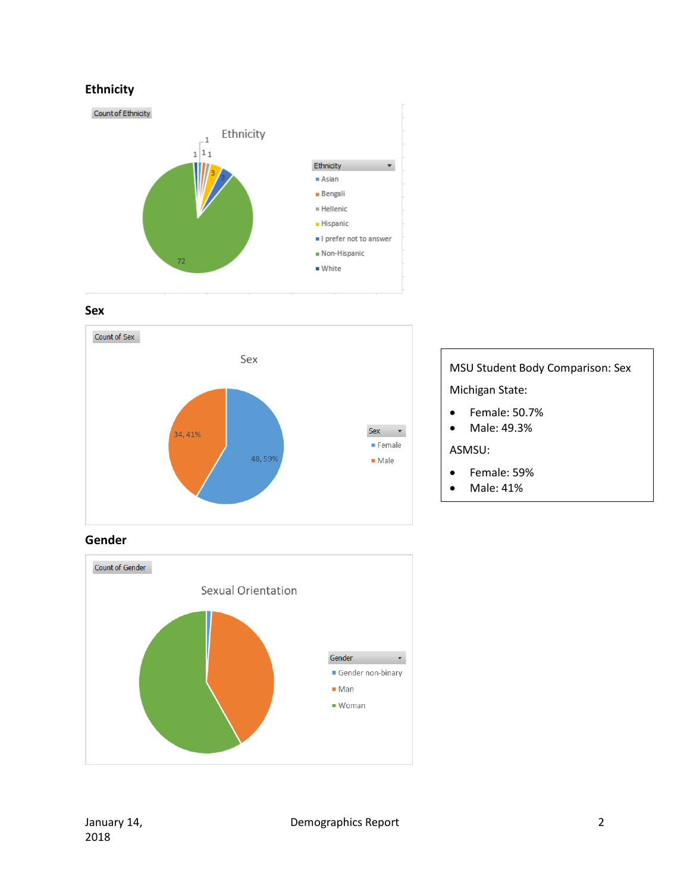# **Ethnicity**



**Sex**



# MSU Student Body Comparison: Sex Michigan State: • Female: 50.7% • Male: 49.3%

ASMSU:

- Female: 59%
- Male: 41%

**Gender**

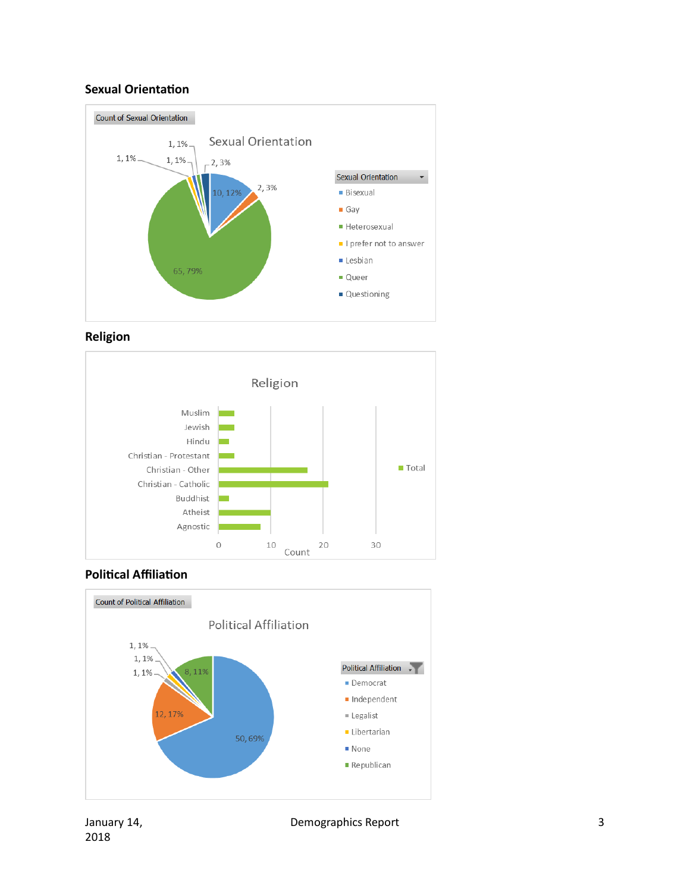#### **Sexual Orientation**









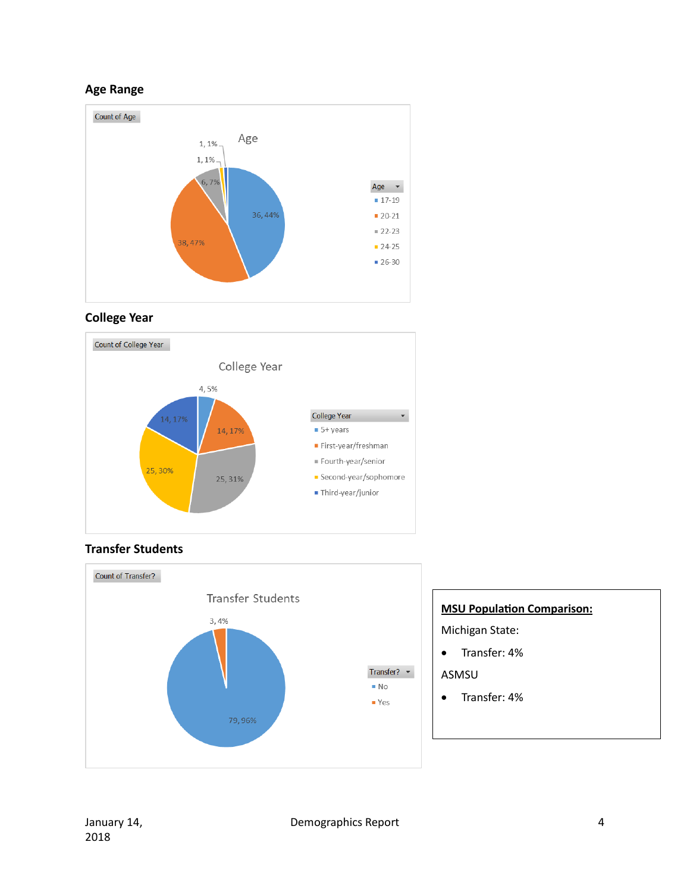#### **Age Range**



# **College Year**



#### **Transfer Students**



# **MSU Population Comparison:**

Michigan State:

• Transfer: 4%

#### ASMSU

• Transfer: 4%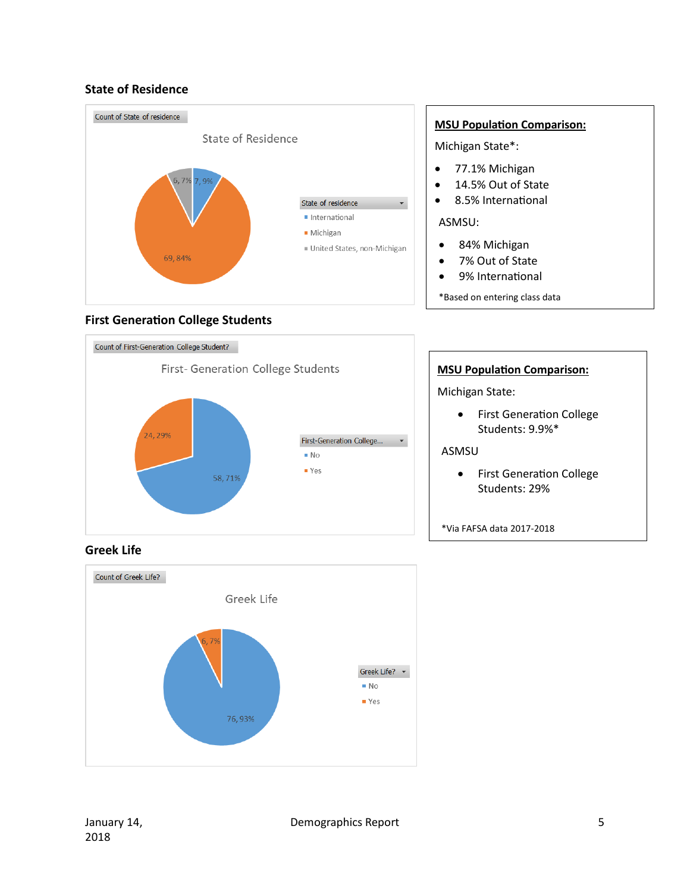#### **State of Residence**



#### **First Generation College Students**



#### **MSU Population Comparison:**

Michigan State\*:

- 77.1% Michigan
- 14.5% Out of State
- 8.5% International

#### ASMSU:

- 84% Michigan
- 7% Out of State
- 9% International
- \*Based on entering class data

# **MSU Population Comparison:**

Michigan State:

• First Generation College Students: 9.9%\*

ASMSU

• First Generation College Students: 29%

\*Via FAFSA data 2017-2018

# **Greek Life**

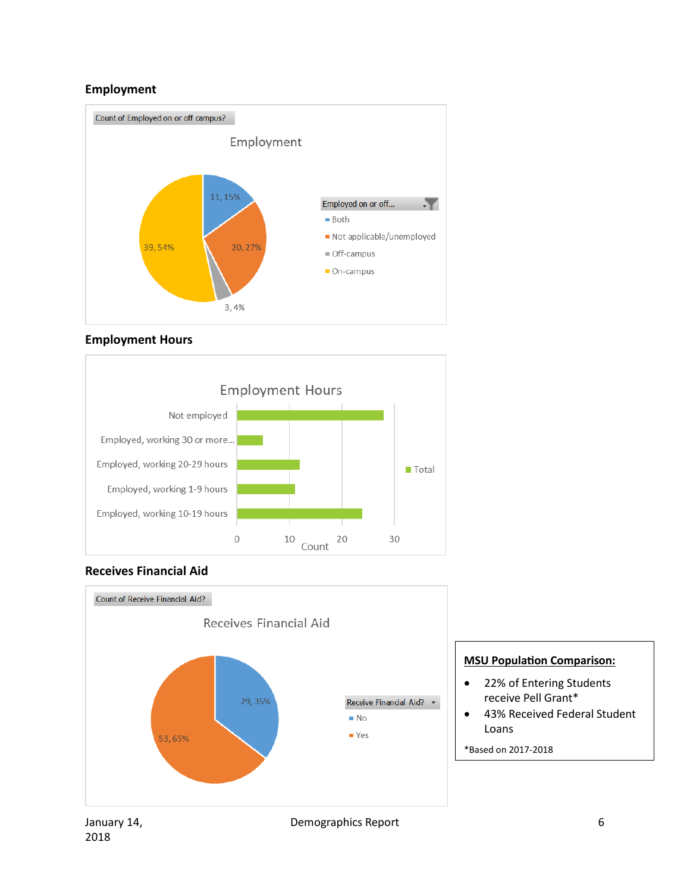# **Employment**











#### **MSU Population Comparison:**

- 22% of Entering Students receive Pell Grant\*
- 43% Received Federal Student Loans
- \*Based on 2017-2018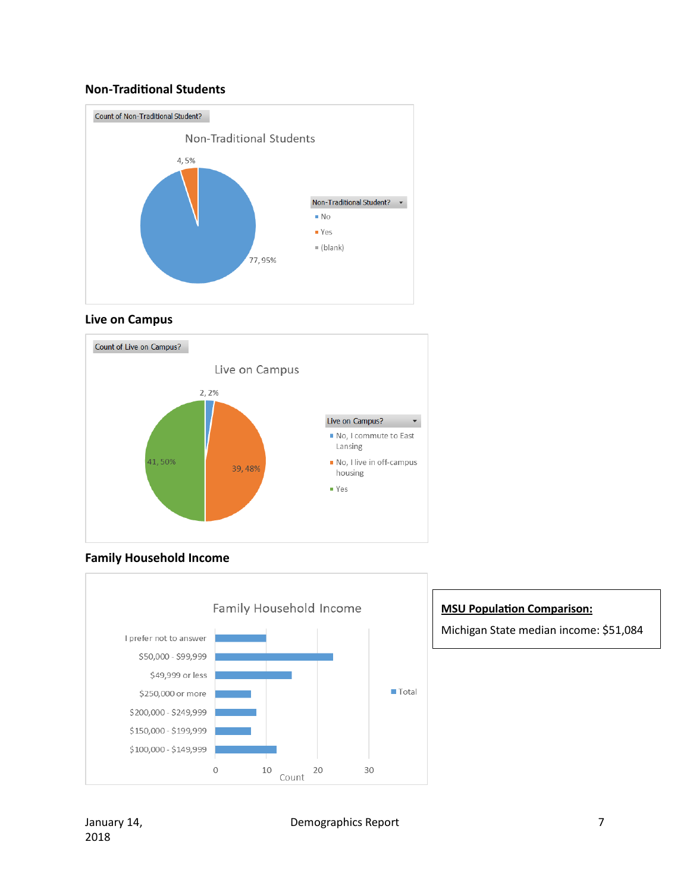#### **Non-Traditional Students**



#### **Live on Campus**



#### **Family Household Income**



#### **MSU Population Comparison:**

Michigan State median income: \$51,084